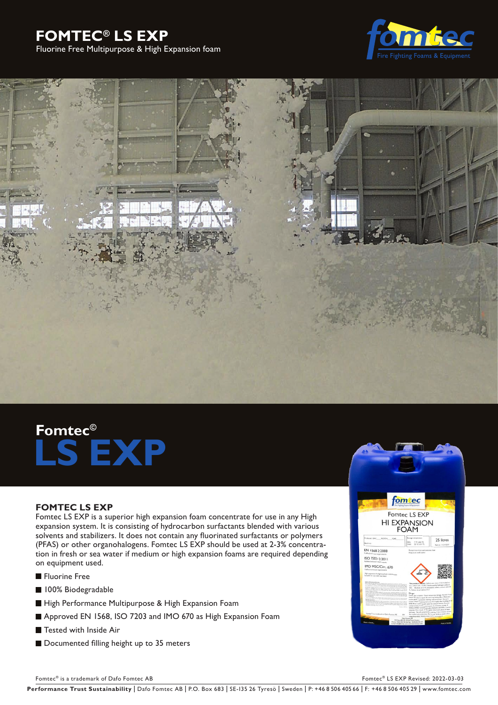# **FOMTEC® LS EXP**







# **Fomtec© LS EXP**

# **FOMTEC LS EXP**

Fomtec LS EXP is a superior high expansion foam concentrate for use in any High expansion system. It is consisting of hydrocarbon surfactants blended with various solvents and stabilizers. It does not contain any fluorinated surfactants or polymers (PFAS) or other organohalogens. Fomtec LS EXP should be used at 2-3% concentration in fresh or sea water if medium or high expansion foams are required depending on equipment used.

- **Fluorine Free**
- **100% Biodegradable**
- High Performance Multipurpose & High Expansion Foam
- Approved EN 1568, ISO 7203 and IMO 670 as High Expansion Foam
- Tested with Inside Air
- Documented filling height up to 35 meters

![](_page_0_Picture_13.jpeg)

Fomtec® is a trademark of Dafo Fomtec AB For the C® LS EXP Revised: 2022-03-03